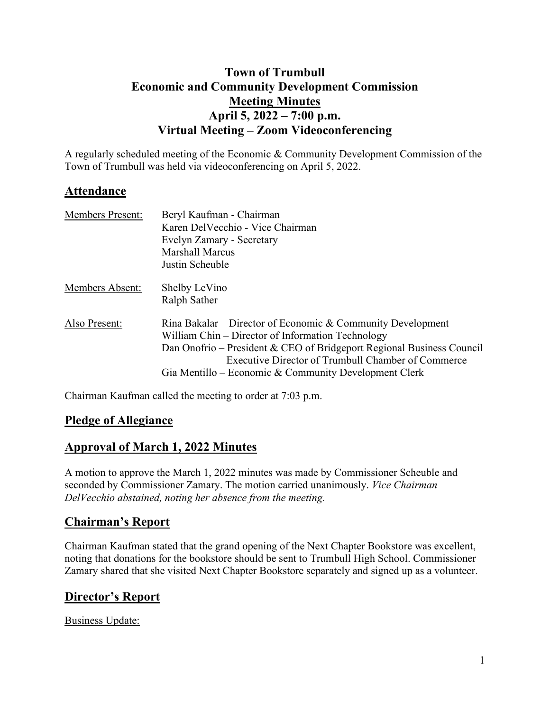# **Town of Trumbull Economic and Community Development Commission Meeting Minutes April 5, 2022 – 7:00 p.m. Virtual Meeting – Zoom Videoconferencing**

A regularly scheduled meeting of the Economic & Community Development Commission of the Town of Trumbull was held via videoconferencing on April 5, 2022.

### **Attendance**

| <b>Members Present:</b> | Beryl Kaufman - Chairman<br>Karen DelVecchio - Vice Chairman<br>Evelyn Zamary - Secretary<br><b>Marshall Marcus</b><br>Justin Scheuble                                                                                                                                                                   |
|-------------------------|----------------------------------------------------------------------------------------------------------------------------------------------------------------------------------------------------------------------------------------------------------------------------------------------------------|
| Members Absent:         | Shelby LeVino<br>Ralph Sather                                                                                                                                                                                                                                                                            |
| Also Present:           | Rina Bakalar – Director of Economic & Community Development<br>William Chin – Director of Information Technology<br>Dan Onofrio – President & CEO of Bridgeport Regional Business Council<br>Executive Director of Trumbull Chamber of Commerce<br>Gia Mentillo – Economic & Community Development Clerk |

Chairman Kaufman called the meeting to order at 7:03 p.m.

### **Pledge of Allegiance**

### **Approval of March 1, 2022 Minutes**

A motion to approve the March 1, 2022 minutes was made by Commissioner Scheuble and seconded by Commissioner Zamary. The motion carried unanimously. *Vice Chairman DelVecchio abstained, noting her absence from the meeting.*

### **Chairman's Report**

Chairman Kaufman stated that the grand opening of the Next Chapter Bookstore was excellent, noting that donations for the bookstore should be sent to Trumbull High School. Commissioner Zamary shared that she visited Next Chapter Bookstore separately and signed up as a volunteer.

# **Director's Report**

Business Update: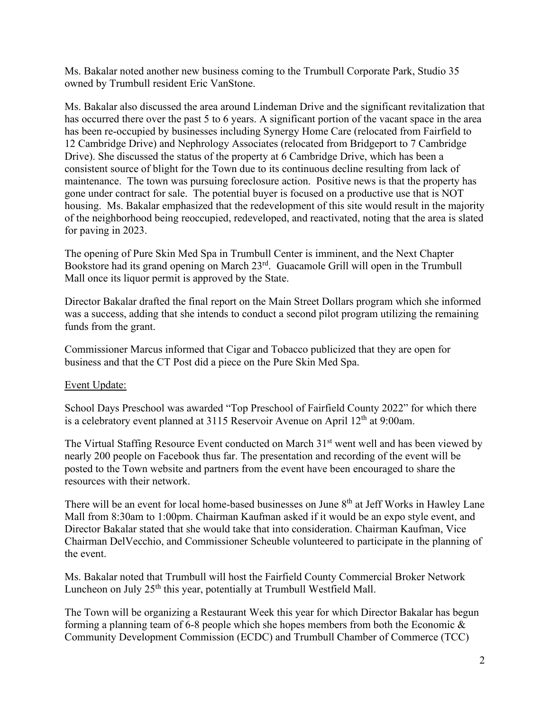Ms. Bakalar noted another new business coming to the Trumbull Corporate Park, Studio 35 owned by Trumbull resident Eric VanStone.

Ms. Bakalar also discussed the area around Lindeman Drive and the significant revitalization that has occurred there over the past 5 to 6 years. A significant portion of the vacant space in the area has been re-occupied by businesses including Synergy Home Care (relocated from Fairfield to 12 Cambridge Drive) and Nephrology Associates (relocated from Bridgeport to 7 Cambridge Drive). She discussed the status of the property at 6 Cambridge Drive, which has been a consistent source of blight for the Town due to its continuous decline resulting from lack of maintenance. The town was pursuing foreclosure action. Positive news is that the property has gone under contract for sale. The potential buyer is focused on a productive use that is NOT housing. Ms. Bakalar emphasized that the redevelopment of this site would result in the majority of the neighborhood being reoccupied, redeveloped, and reactivated, noting that the area is slated for paving in 2023.

The opening of Pure Skin Med Spa in Trumbull Center is imminent, and the Next Chapter Bookstore had its grand opening on March 23rd. Guacamole Grill will open in the Trumbull Mall once its liquor permit is approved by the State.

Director Bakalar drafted the final report on the Main Street Dollars program which she informed was a success, adding that she intends to conduct a second pilot program utilizing the remaining funds from the grant.

Commissioner Marcus informed that Cigar and Tobacco publicized that they are open for business and that the CT Post did a piece on the Pure Skin Med Spa.

#### Event Update:

School Days Preschool was awarded "Top Preschool of Fairfield County 2022" for which there is a celebratory event planned at  $3115$  Reservoir Avenue on April  $12<sup>th</sup>$  at 9:00am.

The Virtual Staffing Resource Event conducted on March 31<sup>st</sup> went well and has been viewed by nearly 200 people on Facebook thus far. The presentation and recording of the event will be posted to the Town website and partners from the event have been encouraged to share the resources with their network.

There will be an event for local home-based businesses on June 8<sup>th</sup> at Jeff Works in Hawley Lane Mall from 8:30am to 1:00pm. Chairman Kaufman asked if it would be an expo style event, and Director Bakalar stated that she would take that into consideration. Chairman Kaufman, Vice Chairman DelVecchio, and Commissioner Scheuble volunteered to participate in the planning of the event.

Ms. Bakalar noted that Trumbull will host the Fairfield County Commercial Broker Network Luncheon on July 25<sup>th</sup> this year, potentially at Trumbull Westfield Mall.

The Town will be organizing a Restaurant Week this year for which Director Bakalar has begun forming a planning team of 6-8 people which she hopes members from both the Economic & Community Development Commission (ECDC) and Trumbull Chamber of Commerce (TCC)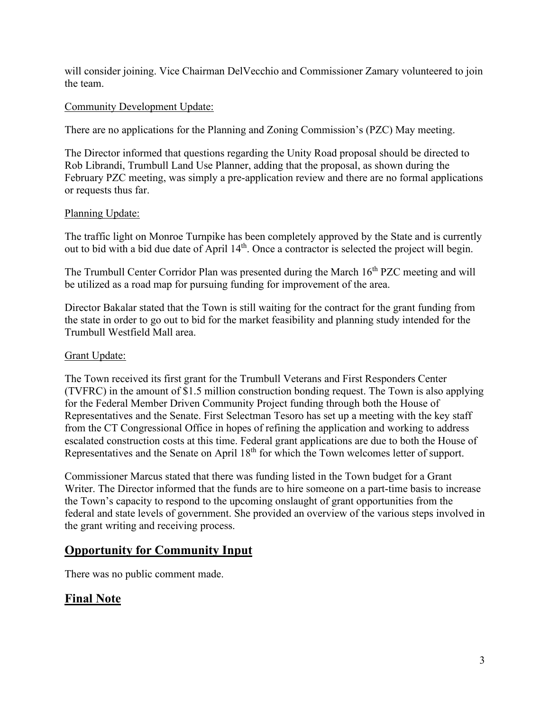will consider joining. Vice Chairman DelVecchio and Commissioner Zamary volunteered to join the team.

#### Community Development Update:

There are no applications for the Planning and Zoning Commission's (PZC) May meeting.

The Director informed that questions regarding the Unity Road proposal should be directed to Rob Librandi, Trumbull Land Use Planner, adding that the proposal, as shown during the February PZC meeting, was simply a pre-application review and there are no formal applications or requests thus far.

### Planning Update:

The traffic light on Monroe Turnpike has been completely approved by the State and is currently out to bid with a bid due date of April 14<sup>th</sup>. Once a contractor is selected the project will begin.

The Trumbull Center Corridor Plan was presented during the March 16<sup>th</sup> PZC meeting and will be utilized as a road map for pursuing funding for improvement of the area.

Director Bakalar stated that the Town is still waiting for the contract for the grant funding from the state in order to go out to bid for the market feasibility and planning study intended for the Trumbull Westfield Mall area.

#### Grant Update:

The Town received its first grant for the Trumbull Veterans and First Responders Center (TVFRC) in the amount of \$1.5 million construction bonding request. The Town is also applying for the Federal Member Driven Community Project funding through both the House of Representatives and the Senate. First Selectman Tesoro has set up a meeting with the key staff from the CT Congressional Office in hopes of refining the application and working to address escalated construction costs at this time. Federal grant applications are due to both the House of Representatives and the Senate on April 18<sup>th</sup> for which the Town welcomes letter of support.

Commissioner Marcus stated that there was funding listed in the Town budget for a Grant Writer. The Director informed that the funds are to hire someone on a part-time basis to increase the Town's capacity to respond to the upcoming onslaught of grant opportunities from the federal and state levels of government. She provided an overview of the various steps involved in the grant writing and receiving process.

# **Opportunity for Community Input**

There was no public comment made.

# **Final Note**